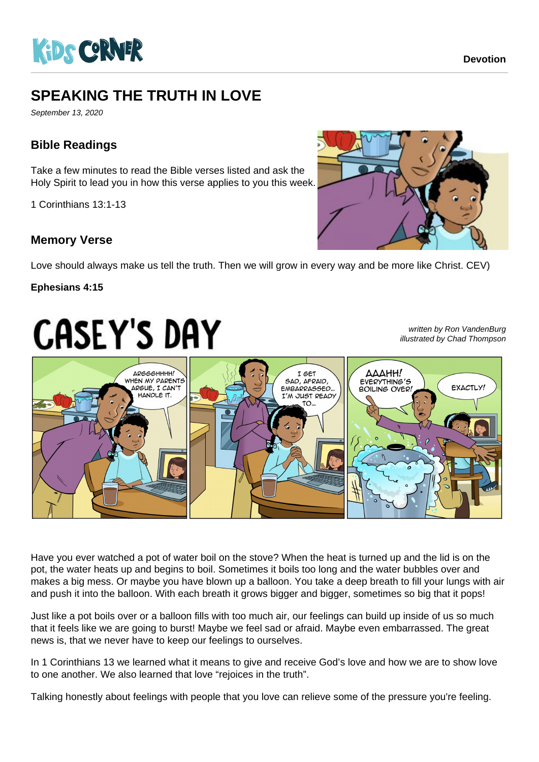

# **SPEAKING THE TRUTH IN LOVE**

September 13, 2020

## **Bible Readings**

Take a few minutes to read the Bible verses listed and ask the Holy Spirit to lead you in how this verse applies to you this week.

1 Corinthians 13:1-13

### **Memory Verse**



Love should always make us tell the truth. Then we will grow in every way and be more like Christ. CEV)

#### **Ephesians 4:15**

# **CASEY'S DAY**

written by Ron VandenBurg illustrated by Chad Thompson



Have you ever watched a pot of water boil on the stove? When the heat is turned up and the lid is on the pot, the water heats up and begins to boil. Sometimes it boils too long and the water bubbles over and makes a big mess. Or maybe you have blown up a balloon. You take a deep breath to fill your lungs with air and push it into the balloon. With each breath it grows bigger and bigger, sometimes so big that it pops!

Just like a pot boils over or a balloon fills with too much air, our feelings can build up inside of us so much that it feels like we are going to burst! Maybe we feel sad or afraid. Maybe even embarrassed. The great news is, that we never have to keep our feelings to ourselves.

In 1 Corinthians 13 we learned what it means to give and receive God's love and how we are to show love to one another. We also learned that love "rejoices in the truth".

Talking honestly about feelings with people that you love can relieve some of the pressure you're feeling.